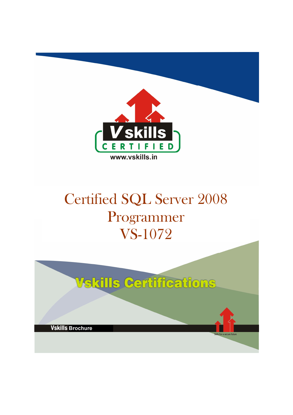

# Certified SQL Server 2008 Programmer VS-1072

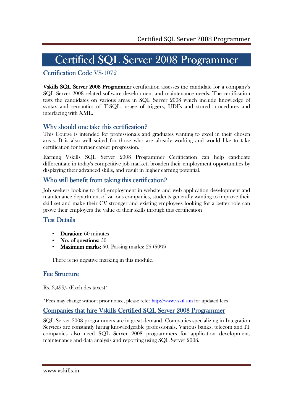# Certified SQL Server 2008 Programmer

### Certification Code VS-1072

Vskills SQL Server 2008 Programmer certification assesses the candidate for a company's SQL Server 2008 related software development and maintenance needs. The certification tests the candidates on various areas in SQL Server 2008 which include knowledge of syntax and semantics of T-SQL, usage of triggers, UDFs and stored procedures and interfacing with XML.

### Why should one take this certification?

This Course is intended for professionals and graduates wanting to excel in their chosen areas. It is also well suited for those who are already working and would like to take certification for further career progression.

Earning Vskills SQL Server 2008 Programmer Certification can help candidate differentiate in today's competitive job market, broaden their employment opportunities by displaying their advanced skills, and result in higher earning potential.

### Who will benefit from taking this certification?

Job seekers looking to find employment in website and web application development and maintenance department of various companies, students generally wanting to improve their skill set and make their CV stronger and existing employees looking for a better role can prove their employers the value of their skills through this certification

### Test Details

- **Duration:** 60 minutes
- No. of questions:  $50$
- Maximum marks: 50, Passing marks:  $25(50\%)$

There is no negative marking in this module.

### **Fee Structure**

Rs. 3,499/- (Excludes taxes)\*

\*Fees may change without prior notice, please refer http://www.vskills.in for updated fees

#### Companies that hire Vskills Certified SQL Server 2008 Programmer

SQL Server 2008 programmers are in great demand. Companies specializing in Integration Services are constantly hiring knowledgeable professionals. Various banks, telecom and IT companies also need SQL Server 2008 programmers for application development, maintenance and data analysis and reporting using SQL Server 2008.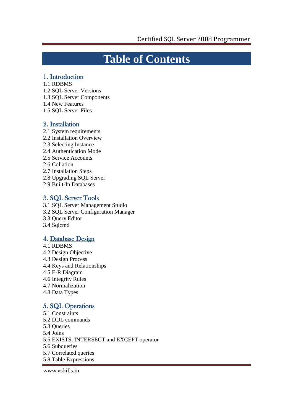## **Table of Contents**

### 1. Introduction

- 1.1 RDBMS
- 1.2 SQL Server Versions
- 1.3 SQL Server Components
- 1.4 New Features
- 1.5 SQL Server Files

#### 2. Installation

- 2.1 System requirements
- 2.2 Installation Overview
- 2.3 Selecting Instance
- 2.4 Authentication Mode
- 2.5 Service Accounts
- 2.6 Collation
- 2.7 Installation Steps
- 2.8 Upgrading SQL Server
- 2.9 Built-In Databases

#### 3. SQL Server Tools

- 3.1 SQL Server Management Studio
- 3.2 SQL Server Configuration Manager
- 3.3 Query Editor
- 3.4 Sqlcmd

### 4. Database Design

- 4.1 RDBMS 4.2 Design Objective
- 4.3 Design Process
- 4.4 Keys and Relationships
- 4.5 E-R Diagram
- 4.6 Integrity Rules
- 4.7 Normalization
- 4.8 Data Types

### 5. SQL Operations

- 5.1 Constraints 5.2 DDL commands
- 5.3 Queries
- 5.4 Joins
- 5.5 EXISTS, INTERSECT and EXCEPT operator
- 5.6 Subqueries
- 5.7 Correlated queries
- 5.8 Table Expressions

www.vskills.in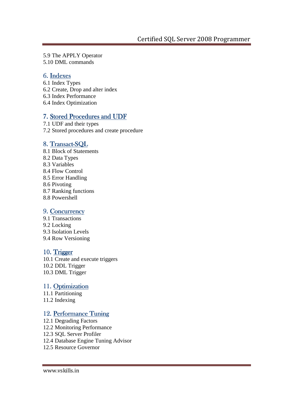5.9 The APPLY Operator 5.10 DML commands

#### 6. Indexes

- 6.1 Index Types
- 6.2 Create, Drop and alter index
- 6.3 Index Performance
- 6.4 Index Optimization

#### 7. Stored Procedures and UDF

7.1 UDF and their types 7.2 Stored procedures and create procedure

#### 8. Transact-SOL

- 8.1 Block of Statements 8.2 Data Types 8.3 Variables 8.4 Flow Control 8.5 Error Handling 8.6 Pivoting 8.7 Ranking functions 8.8 Powershell 9. Concurrency
- 9.1 Transactions 9.2 Locking 9.3 Isolation Levels 9.4 Row Versioning

#### 10. Trigger

10.1 Create and execute triggers 10.2 DDL Trigger 10.3 DML Trigger

#### 11. Optimization

11.1 Partitioning 11.2 Indexing

#### 12. Performance Tuning

12.1 Degrading Factors 12.2 Monitoring Performance 12.3 SQL Server Profiler 12.4 Database Engine Tuning Advisor 12.5 Resource Governor

www.vskills.in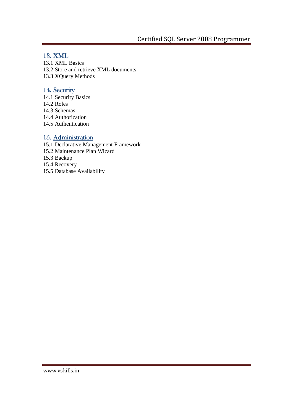### 13. XML

13.1 XML Basics 13.2 Store and retrieve XML documents 13.3 XQuery Methods

### 14. Security

- 14.1 Security Basics 14.2 Roles 14.3 Schemas
- 14.4 Authorization
- 14.5 Authentication

### 15. Administration

- 15.1 Declarative Management Framework
- 15.2 Maintenance Plan Wizard
- 15.3 Backup
- 15.4 Recovery
- 15.5 Database Availability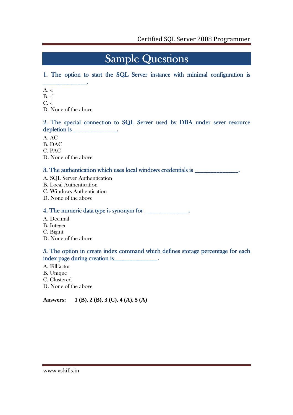## **Sample Questions**

### 1. The option to start the SQL Server instance with minimal configuration is

- \_\_\_\_\_\_\_\_\_\_\_\_\_\_.  $A. -i$
- B. -f
- C. -l
- D. None of the above

### 2. The special connection to SQL Server used by DBA under sever resource depletion is the control of the control of  $\mathbf{I}$ .

- A. AC
- B. DAC
- C. PAC
- D. None of the above

### 3. The authentication which uses local windows credentials is

- A. SQL Server Authentication
- B. Local Authentication
- C. Windows Authentication
- D. None of the above

### 4. The numeric data type is synonym for  $\frac{1}{\sqrt{1-\frac{1}{n}}}$ .

- A. Decimal
- B. Integer
- C. Bigint
- D. None of the above

### 5. The option in create index command which defines storage percentage for each index page during creation is \_\_\_\_\_\_\_\_\_\_\_\_\_\_.

- A. Fillfactor
- B. Unique
- C. Clustered
- D. None of the above

#### **Answers: 1 (B), 2 (B), 3 (C), 4 (A), 5 (A)**